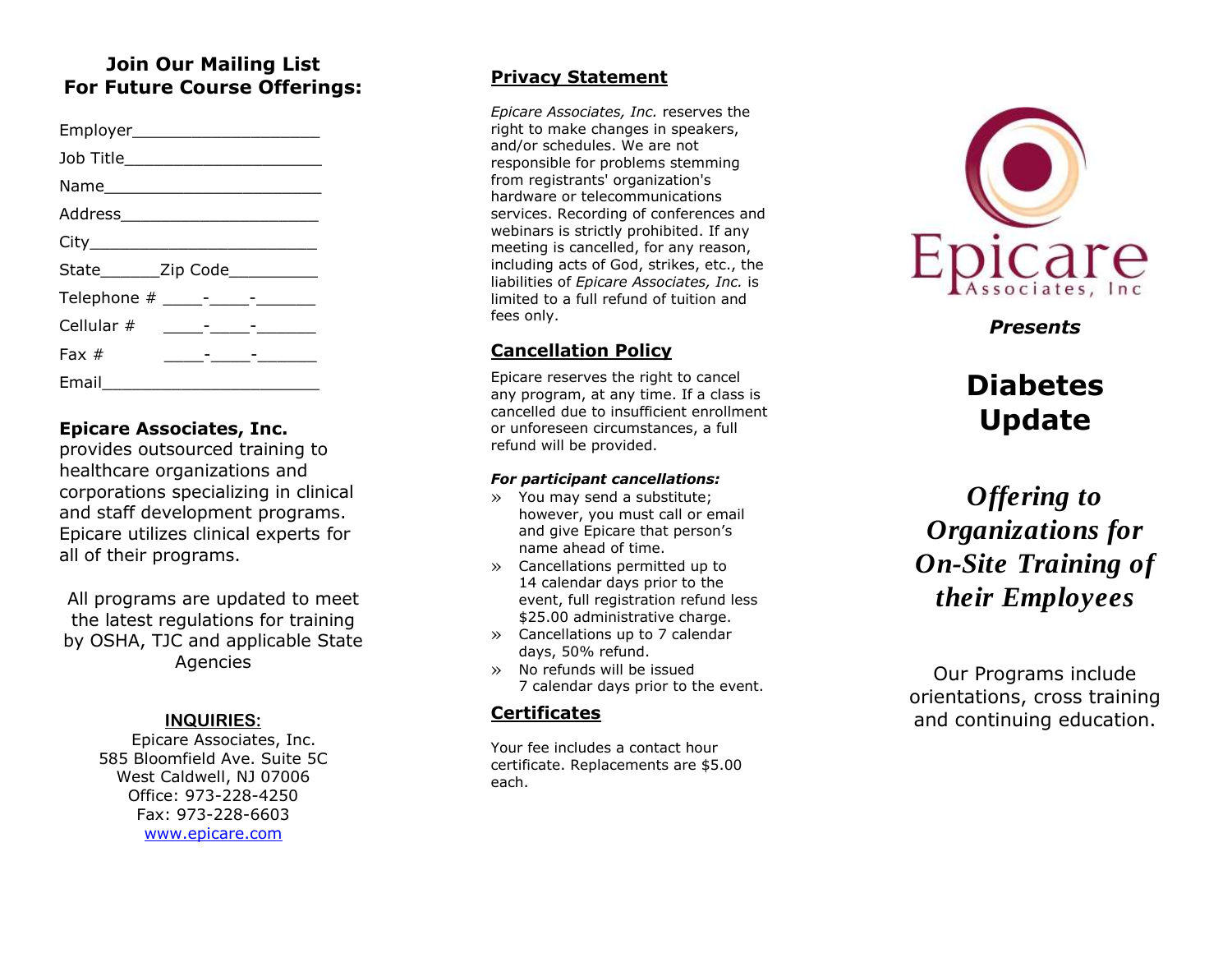# **Join Our Mailing List For Future Course Offerings:**

| Employer_________________________                                                                                                 |  |
|-----------------------------------------------------------------------------------------------------------------------------------|--|
| Job Title________________________                                                                                                 |  |
|                                                                                                                                   |  |
| Address__________________________                                                                                                 |  |
|                                                                                                                                   |  |
| State________Zip Code___________                                                                                                  |  |
|                                                                                                                                   |  |
| Cellular $#$<br><u> 1980 - Andrea Station Barbara, amerikansk politik (d. 1980)</u>                                               |  |
| Fax $#$<br><u> 1999 - Alexandr Alexandr Alexandr Alexandr Alexandr Alexandr Alexandr Alexandr Alexandr Alexandr Alexandr Alex</u> |  |
| Email $\_\_$                                                                                                                      |  |

## **Epicare Associates, Inc.**

provides outsourced training to healthcare organizations and corporations specializing in clinical and staff development programs. Epicare utilizes clinical experts for all of their programs.

All programs are updated to meet the latest regulations for training by OSHA, TJC and applicable State Agencies

## **INQUIRIES :**

Epicare Associates, Inc. 585 Bloomfield Ave. Suite 5C West Caldwell, NJ 07006 Office: 973 -228 -4250 Fax: 973 -228 -6603 [www.epicare.com](http://www.epicare.com/)

## **Privacy Statement**

*Epicare Associates, Inc.* reserves the right to make changes in speakers, and/or schedules. We are not responsible for problems stemming from registrants' organization's hardware or telecommunications services. Recording of conferences and webinars is strictly prohibited. If any meeting is cancelled, for any reason, including acts of God, strikes, etc., the liabilities of *Epicare Associates, Inc.* is limited to a full refund of tuition and fees only.

# **Cancellation Policy**

Epicare reserves the right to cancel any program, at any time. If a class is cancelled due to insufficient enrollment or unforeseen circumstances, a full refund will be provided.

#### *For participant cancellations:*

- » You may send a substitute; however, you must call or email and give Epicare that person's name ahead of time.
- » Cancellations permitted up to 14 calendar days prior to the event, full registration refund less \$25.00 administrative charge.
- » Cancellations up to 7 calendar days, 50% refund.
- » No refunds will be issued 7 calendar days prior to the event.

## **Certificates**

Your fee includes a contact hour certificate. Replacements are \$5.00 each.



*Presents*

# **Diabetes Update**

*Offering to Organizations for On -Site Training of their Employees*

Our Programs include orientation s, cross training and continuing education.